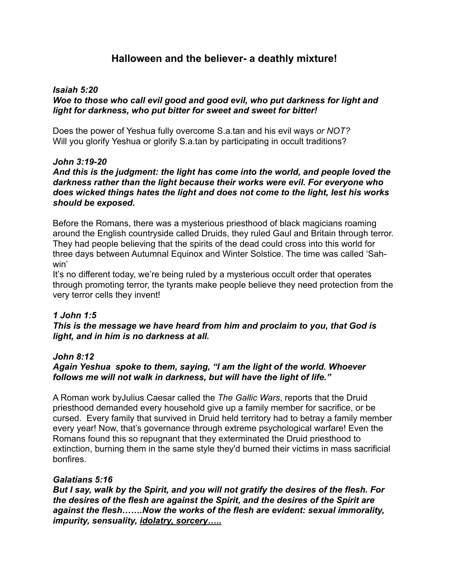# **Halloween and the believer- a deathly mixture!**

#### *Isaiah 5:20 Woe to those who call evil good and good evil, who put darkness for light and light for darkness, who put bitter for sweet and sweet for bitter!*

Does the power of Yeshua fully overcome S.a.tan and his evil ways *or NOT?* Will you glorify Yeshua or glorify S.a.tan by participating in occult traditions?

# *John 3:19-20*

# *And this is the judgment: the light has come into the world, and people loved the darkness rather than the light because their works were evil. For everyone who does wicked things hates the light and does not come to the light, lest his works should be exposed.*

Before the Romans, there was a mysterious priesthood of black magicians roaming around the English countryside called Druids, they ruled Gaul and Britain through terror. They had people believing that the spirits of the dead could cross into this world for three days between Autumnal Equinox and Winter Solstice. The time was called 'Sahwin'

It's no different today, we're being ruled by a mysterious occult order that operates through promoting terror, the tyrants make people believe they need protection from the very terror cells they invent!

### *1 John 1:5*

### *This is the message we have heard from him and proclaim to you, that God is light, and in him is no darkness at all.*

### *John 8:12*

# *Again Yeshua spoke to them, saying, "I am the light of the world. Whoever follows me will not walk in darkness, but will have the light of life."*

A Roman work byJulius Caesar called the *The Gallic Wars*, reports that the Druid priesthood demanded every household give up a family member for sacrifice, or be cursed. Every family that survived in Druid held territory had to betray a family member every year! Now, that's governance through extreme psychological warfare! Even the Romans found this so repugnant that they exterminated the Druid priesthood to extinction, burning them in the same style they'd burned their victims in mass sacrificial bonfires.

### *Galatians 5:16*

*But I say, walk by the Spirit, and you will not gratify the desires of the flesh. For the desires of the flesh are against the Spirit, and the desires of the Spirit are against the flesh…….Now the works of the flesh are evident: sexual immorality, impurity, sensuality, idolatry, sorcery…..*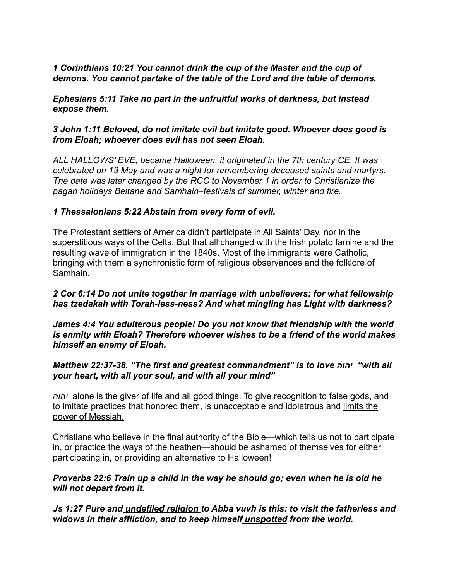# *1 Corinthians 10:21 You cannot drink the cup of the Master and the cup of demons. You cannot partake of the table of the Lord and the table of demons.*

*Ephesians 5:11 Take no part in the unfruitful works of darkness, but instead expose them.* 

# *3 John 1:11 Beloved, do not imitate evil but imitate good. Whoever does good is from Eloah; whoever does evil has not seen Eloah.*

*ALL HALLOWS' EVE, became Halloween, it originated in the 7th century CE. It was celebrated on 13 May and was a night for remembering deceased saints and martyrs. The date was later changed by the RCC to November 1 in order to Christianize the pagan holidays Beltane and Samhain–festivals of summer, winter and fire.*

# *1 Thessalonians 5:22 Abstain from every form of evil.*

The Protestant settlers of America didn't participate in All Saints' Day, nor in the superstitious ways of the Celts. But that all changed with the Irish potato famine and the resulting wave of immigration in the 1840s. Most of the immigrants were Catholic, bringing with them a synchronistic form of religious observances and the folklore of Samhain.

# *2 Cor 6:14 Do not unite together in marriage with unbelievers: for what fellowship has tzedakah with Torah-less-ness? And what mingling has Light with darkness?*

*James 4:4 You adulterous people! Do you not know that friendship with the world is enmity with Eloah? Therefore whoever wishes to be a friend of the world makes himself an enemy of Eloah.* 

# *Matthew 22:37-38. "The first and greatest commandment" is to love יהוה" with all your heart, with all your soul, and with all your mind"*

*יהוה* alone is the giver of life and all good things. To give recognition to false gods, and to imitate practices that honored them, is unacceptable and idolatrous and limits the power of Messiah.

Christians who believe in the final authority of the Bible—which tells us not to participate in, or practice the ways of the heathen—should be ashamed of themselves for either participating in, or providing an alternative to Halloween!

# *Proverbs 22:6 Train up a child in the way he should go; even when he is old he will not depart from it.*

*Js 1:27 Pure and undefiled religion to Abba vuvh is this: to visit the fatherless and widows in their affliction, and to keep himself unspotted from the world.*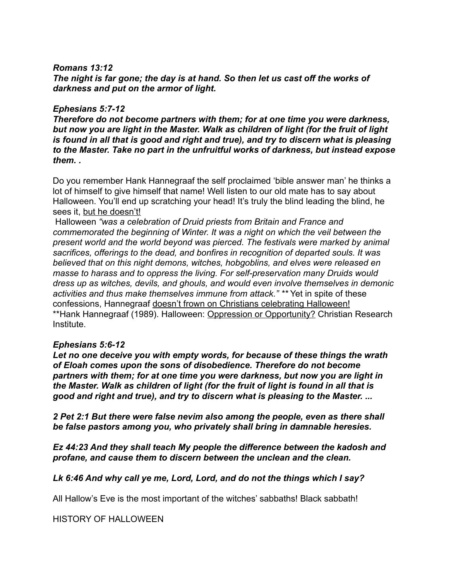#### *Romans 13:12*

*The night is far gone; the day is at hand. So then let us cast off the works of darkness and put on the armor of light.*

#### *Ephesians 5:7-12*

*Therefore do not become partners with them; for at one time you were darkness, but now you are light in the Master. Walk as children of light (for the fruit of light*  is found in all that is good and right and true), and try to discern what is pleasing *to the Master. Take no part in the unfruitful works of darkness, but instead expose them. .* 

Do you remember Hank Hannegraaf the self proclaimed 'bible answer man' he thinks a lot of himself to give himself that name! Well listen to our old mate has to say about Halloween. You'll end up scratching your head! It's truly the blind leading the blind, he sees it, but he doesn't!

 Halloween *"was a celebration of Druid priests from Britain and France and commemorated the beginning of Winter. It was a night on which the veil between the present world and the world beyond was pierced. The festivals were marked by animal sacrifices, offerings to the dead, and bonfires in recognition of departed souls. It was believed that on this night demons, witches, hobgoblins, and elves were released en masse to harass and to oppress the living. For self-preservation many Druids would dress up as witches, devils, and ghouls, and would even involve themselves in demonic activities and thus make themselves immune from attack." \*\** Yet in spite of these confessions, Hannegraaf doesn't frown on Christians celebrating Halloween! \*\*Hank Hannegraaf (1989). Halloween: Oppression or Opportunity? Christian Research Institute.

### *Ephesians 5:6-12*

*Let no one deceive you with empty words, for because of these things the wrath of Eloah comes upon the sons of disobedience. Therefore do not become partners with them; for at one time you were darkness, but now you are light in the Master. Walk as children of light (for the fruit of light is found in all that is good and right and true), and try to discern what is pleasing to the Master. ...* 

*2 Pet 2:1 But there were false nevim also among the people, even as there shall be false pastors among you, who privately shall bring in damnable heresies.* 

*Ez 44:23 And they shall teach My people the difference between the kadosh and profane, and cause them to discern between the unclean and the clean.*

*Lk 6:46 And why call ye me, Lord, Lord, and do not the things which I say?* 

All Hallow's Eve is the most important of the witches' sabbaths! Black sabbath!

HISTORY OF HALLOWEEN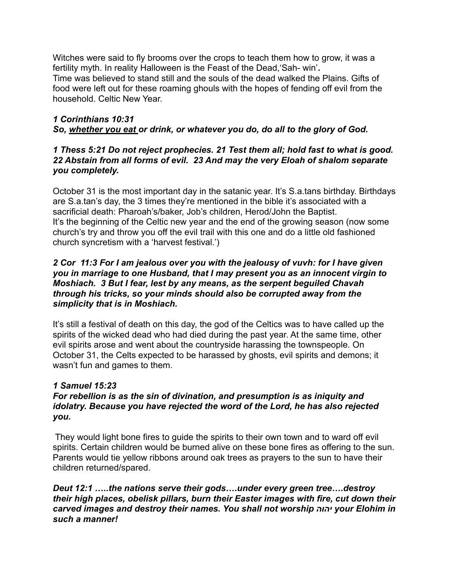Witches were said to fly brooms over the crops to teach them how to grow, it was a fertility myth. In reality Halloween is the Feast of the Dead,'Sah- win'**.**  Time was believed to stand still and the souls of the dead walked the Plains. Gifts of food were left out for these roaming ghouls with the hopes of fending off evil from the household. Celtic New Year.

# *1 Corinthians 10:31 So, whether you eat or drink, or whatever you do, do all to the glory of God.*

# *1 Thess 5:21 Do not reject prophecies. 21 Test them all; hold fast to what is good. 22 Abstain from all forms of evil. 23 And may the very Eloah of shalom separate you completely.*

October 31 is the most important day in the satanic year. It's S.a.tans birthday. Birthdays are S.a.tan's day, the 3 times they're mentioned in the bible it's associated with a sacrificial death: Pharoah's/baker, Job's children, Herod/John the Baptist. It's the beginning of the Celtic new year and the end of the growing season (now some church's try and throw you off the evil trail with this one and do a little old fashioned church syncretism with a 'harvest festival.')

# *2 Cor 11:3 For I am jealous over you with the jealousy of vuvh: for I have given you in marriage to one Husband, that I may present you as an innocent virgin to Moshiach. 3 But I fear, lest by any means, as the serpent beguiled Chavah through his tricks, so your minds should also be corrupted away from the simplicity that is in Moshiach.*

It's still a festival of death on this day, the god of the Celtics was to have called up the spirits of the wicked dead who had died during the past year. At the same time, other evil spirits arose and went about the countryside harassing the townspeople. On October 31, the Celts expected to be harassed by ghosts, evil spirits and demons; it wasn't fun and games to them.

# *1 Samuel 15:23*

# *For rebellion is as the sin of divination, and presumption is as iniquity and idolatry. Because you have rejected the word of the Lord, he has also rejected you.*

 They would light bone fires to guide the spirits to their own town and to ward off evil spirits. Certain children would be burned alive on these bone fires as offering to the sun. Parents would tie yellow ribbons around oak trees as prayers to the sun to have their children returned/spared.

*Deut 12:1 …..the nations serve their gods….under every green tree….destroy their high places, obelisk pillars, burn their Easter images with fire, cut down their carved images and destroy their names. You shall not worship יהוה your Elohim in such a manner!*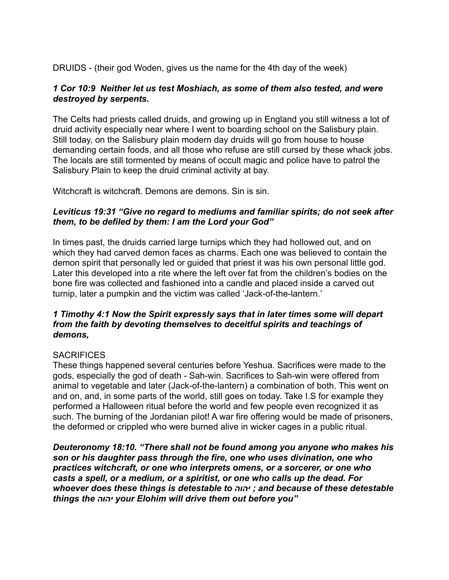DRUIDS - (their god Woden, gives us the name for the 4th day of the week)

# *1 Cor 10:9 Neither let us test Moshiach, as some of them also tested, and were destroyed by serpents.*

The Celts had priests called druids, and growing up in England you still witness a lot of druid activity especially near where I went to boarding school on the Salisbury plain. Still today, on the Salisbury plain modern day druids will go from house to house demanding certain foods, and all those who refuse are still cursed by these whack jobs. The locals are still tormented by means of occult magic and police have to patrol the Salisbury Plain to keep the druid criminal activity at bay.

Witchcraft is witchcraft. Demons are demons. Sin is sin.

# *Leviticus 19:31 "Give no regard to mediums and familiar spirits; do not seek after them, to be defiled by them: I am the Lord your God"*

In times past, the druids carried large turnips which they had hollowed out, and on which they had carved demon faces as charms. Each one was believed to contain the demon spirit that personally led or guided that priest it was his own personal little god. Later this developed into a rite where the left over fat from the children's bodies on the bone fire was collected and fashioned into a candle and placed inside a carved out turnip, later a pumpkin and the victim was called 'Jack-of-the-lantern.'

# *1 Timothy 4:1 Now the Spirit expressly says that in later times some will depart from the faith by devoting themselves to deceitful spirits and teachings of demons,*

# **SACRIFICES**

These things happened several centuries before Yeshua. Sacrifices were made to the gods, especially the god of death - Sah-win. Sacrifices to Sah-win were offered from animal to vegetable and later (Jack-of-the-lantern) a combination of both. This went on and on, and, in some parts of the world, still goes on today. Take I.S for example they performed a Halloween ritual before the world and few people even recognized it as such. The burning of the Jordanian pilot! A war fire offering would be made of prisoners, the deformed or crippled who were burned alive in wicker cages in a public ritual.

*Deuteronomy 18:10. "There shall not be found among you anyone who makes his son or his daughter pass through the fire, one who uses divination, one who practices witchcraft, or one who interprets omens, or a sorcerer, or one who casts a spell, or a medium, or a spiritist, or one who calls up the dead. For whoever does these things is detestable to יהוה ; and because of these detestable things the יהוה your Elohim will drive them out before you"*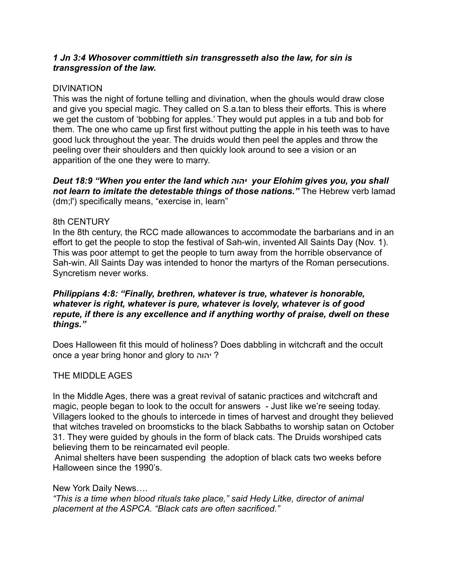### *1 Jn 3:4 Whosover committieth sin transgresseth also the law, for sin is transgression of the law.*

### DIVINATION

This was the night of fortune telling and divination, when the ghouls would draw close and give you special magic. They called on S.a.tan to bless their efforts. This is where we get the custom of 'bobbing for apples.' They would put apples in a tub and bob for them. The one who came up first first without putting the apple in his teeth was to have good luck throughout the year. The druids would then peel the apples and throw the peeling over their shoulders and then quickly look around to see a vision or an apparition of the one they were to marry.

*Deut 18:9 "When you enter the land which יהוה your Elohim gives you, you shall not learn to imitate the detestable things of those nations."* The Hebrew verb lamad (dm;l') specifically means, "exercise in, learn"

#### 8th CENTURY

In the 8th century, the RCC made allowances to accommodate the barbarians and in an effort to get the people to stop the festival of Sah-win, invented All Saints Day (Nov. 1). This was poor attempt to get the people to turn away from the horrible observance of Sah-win. All Saints Day was intended to honor the martyrs of the Roman persecutions. Syncretism never works.

# *Philippians 4:8: "Finally, brethren, whatever is true, whatever is honorable, whatever is right, whatever is pure, whatever is lovely, whatever is of good repute, if there is any excellence and if anything worthy of praise, dwell on these things."*

Does Halloween fit this mould of holiness? Does dabbling in witchcraft and the occult once a year bring honor and glory to יהוה?

### THE MIDDLE AGES

In the Middle Ages, there was a great revival of satanic practices and witchcraft and magic, people began to look to the occult for answers - Just like we're seeing today. Villagers looked to the ghouls to intercede in times of harvest and drought they believed that witches traveled on broomsticks to the black Sabbaths to worship satan on October 31. They were guided by ghouls in the form of black cats. The Druids worshiped cats believing them to be reincarnated evil people.

 Animal shelters have been suspending the adoption of black cats two weeks before Halloween since the 1990's.

New York Daily News….

*"This is a time when blood rituals take place," said Hedy Litke, director of animal placement at the ASPCA. "Black cats are often sacrificed."*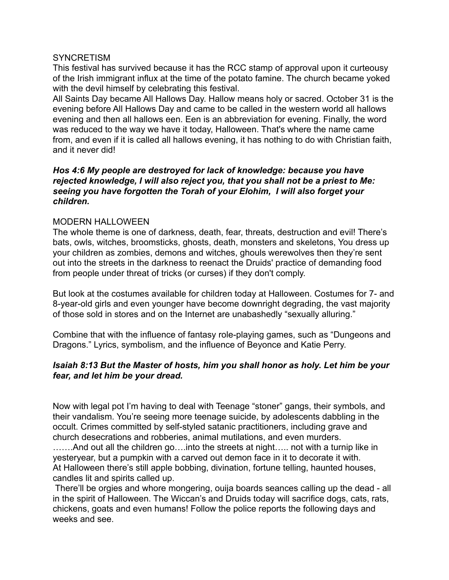#### **SYNCRETISM**

This festival has survived because it has the RCC stamp of approval upon it curteousy of the Irish immigrant influx at the time of the potato famine. The church became yoked with the devil himself by celebrating this festival.

All Saints Day became All Hallows Day. Hallow means holy or sacred. October 31 is the evening before All Hallows Day and came to be called in the western world all hallows evening and then all hallows een. Een is an abbreviation for evening. Finally, the word was reduced to the way we have it today, Halloween. That's where the name came from, and even if it is called all hallows evening, it has nothing to do with Christian faith, and it never did!

### *Hos 4:6 My people are destroyed for lack of knowledge: because you have rejected knowledge, I will also reject you, that you shall not be a priest to Me: seeing you have forgotten the Torah of your Elohim, I will also forget your children.*

### MODERN HALLOWEEN

The whole theme is one of darkness, death, fear, threats, destruction and evil! There's bats, owls, witches, broomsticks, ghosts, death, monsters and skeletons, You dress up your children as zombies, demons and witches, ghouls werewolves then they're sent out into the streets in the darkness to reenact the Druids' practice of demanding food from people under threat of tricks (or curses) if they don't comply.

But look at the costumes available for children today at Halloween. Costumes for 7- and 8-year-old girls and even younger have become downright degrading, the vast majority of those sold in stores and on the Internet are unabashedly "sexually alluring."

Combine that with the influence of fantasy role-playing games, such as "Dungeons and Dragons." Lyrics, symbolism, and the influence of Beyonce and Katie Perry.

### *Isaiah 8:13 But the Master of hosts, him you shall honor as holy. Let him be your fear, and let him be your dread.*

Now with legal pot I'm having to deal with Teenage "stoner" gangs, their symbols, and their vandalism. You're seeing more teenage suicide, by adolescents dabbling in the occult. Crimes committed by self-styled satanic practitioners, including grave and church desecrations and robberies, animal mutilations, and even murders.

…….And out all the children go….into the streets at night….. not with a turnip like in yesteryear, but a pumpkin with a carved out demon face in it to decorate it with. At Halloween there's still apple bobbing, divination, fortune telling, haunted houses, candles lit and spirits called up.

 There'll be orgies and whore mongering, ouija boards seances calling up the dead - all in the spirit of Halloween. The Wiccan's and Druids today will sacrifice dogs, cats, rats, chickens, goats and even humans! Follow the police reports the following days and weeks and see.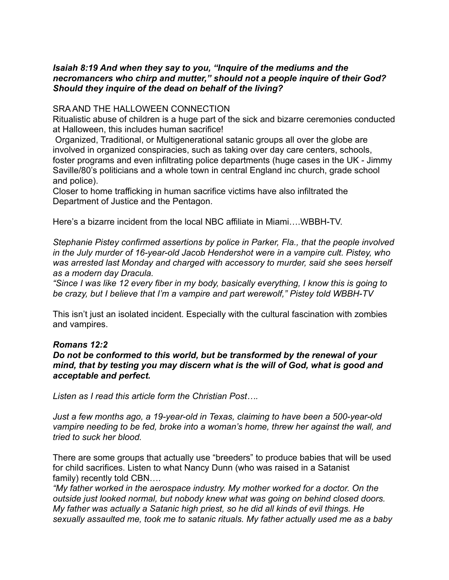# *Isaiah 8:19 And when they say to you, "Inquire of the mediums and the necromancers who chirp and mutter," should not a people inquire of their God? Should they inquire of the dead on behalf of the living?*

#### SRA AND THE HALLOWEEN CONNECTION

Ritualistic abuse of children is a huge part of the sick and bizarre ceremonies conducted at Halloween, this includes human sacrifice!

 Organized, Traditional, or Multigenerational satanic groups all over the globe are involved in organized conspiracies, such as taking over day care centers, schools, foster programs and even infiltrating police departments (huge cases in the UK - Jimmy Saville/80's politicians and a whole town in central England inc church, grade school and police).

Closer to home trafficking in human sacrifice victims have also infiltrated the Department of Justice and the Pentagon.

Here's a bizarre incident from the local NBC affiliate in Miami….WBBH-TV.

*Stephanie Pistey confirmed assertions by police in Parker, Fla., that the people involved in the July murder of 16-year-old Jacob Hendershot were in a vampire cult. Pistey, who was arrested last Monday and charged with accessory to murder, said she sees herself as a modern day Dracula.*

*"Since I was like 12 every fiber in my body, basically everything, I know this is going to be crazy, but I believe that I'm a vampire and part werewolf," Pistey told WBBH-TV* 

This isn't just an isolated incident. Especially with the cultural fascination with zombies and vampires.

### *Romans 12:2*

### *Do not be conformed to this world, but be transformed by the renewal of your mind, that by testing you may discern what is the will of God, what is good and acceptable and perfect.*

*Listen as I read this article form the Christian Post….* 

*Just a few months ago, a 19-year-old in Texas, claiming to have been a 500-year-old vampire needing to be fed, broke into a woman's home, threw her against the wall, and tried to suck her blood.*

There are some groups that actually use "breeders" to produce babies that will be used for child sacrifices. Listen to what Nancy Dunn (who was raised in a Satanist family) recently told CBN....

*"My father worked in the aerospace industry. My mother worked for a doctor. On the outside just looked normal, but nobody knew what was going on behind closed doors. My father was actually a Satanic high priest, so he did all kinds of evil things. He sexually assaulted me, took me to satanic rituals. My father actually used me as a baby*